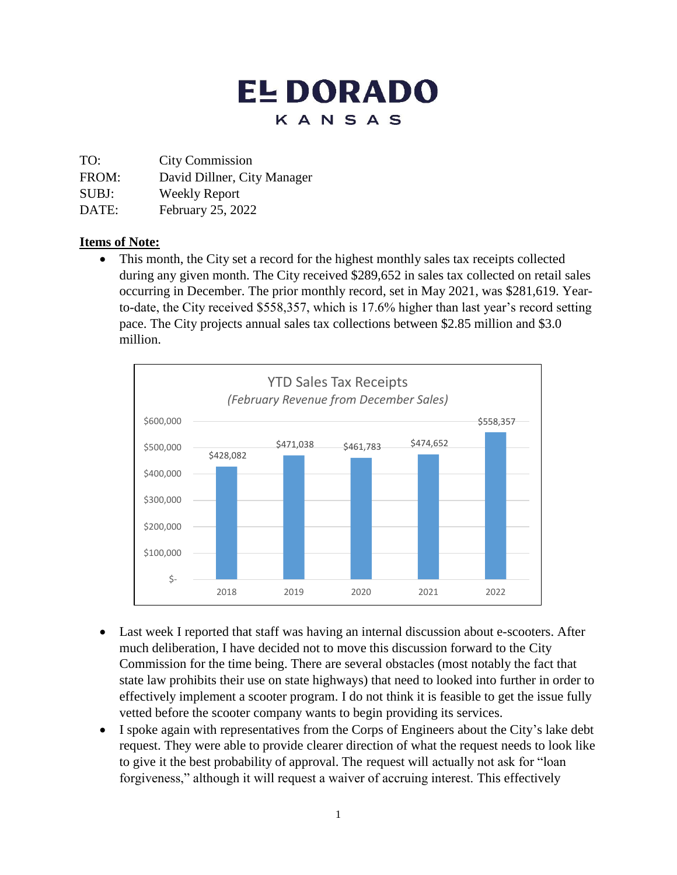# **ELDORADO** KANSAS

TO: City Commission

FROM: David Dillner, City Manager

SUBJ: Weekly Report

DATE: February 25, 2022

#### **Items of Note:**

• This month, the City set a record for the highest monthly sales tax receipts collected during any given month. The City received \$289,652 in sales tax collected on retail sales occurring in December. The prior monthly record, set in May 2021, was \$281,619. Yearto-date, the City received \$558,357, which is 17.6% higher than last year's record setting pace. The City projects annual sales tax collections between \$2.85 million and \$3.0 million.



- Last week I reported that staff was having an internal discussion about e-scooters. After much deliberation, I have decided not to move this discussion forward to the City Commission for the time being. There are several obstacles (most notably the fact that state law prohibits their use on state highways) that need to looked into further in order to effectively implement a scooter program. I do not think it is feasible to get the issue fully vetted before the scooter company wants to begin providing its services.
- I spoke again with representatives from the Corps of Engineers about the City's lake debt request. They were able to provide clearer direction of what the request needs to look like to give it the best probability of approval. The request will actually not ask for "loan forgiveness," although it will request a waiver of accruing interest. This effectively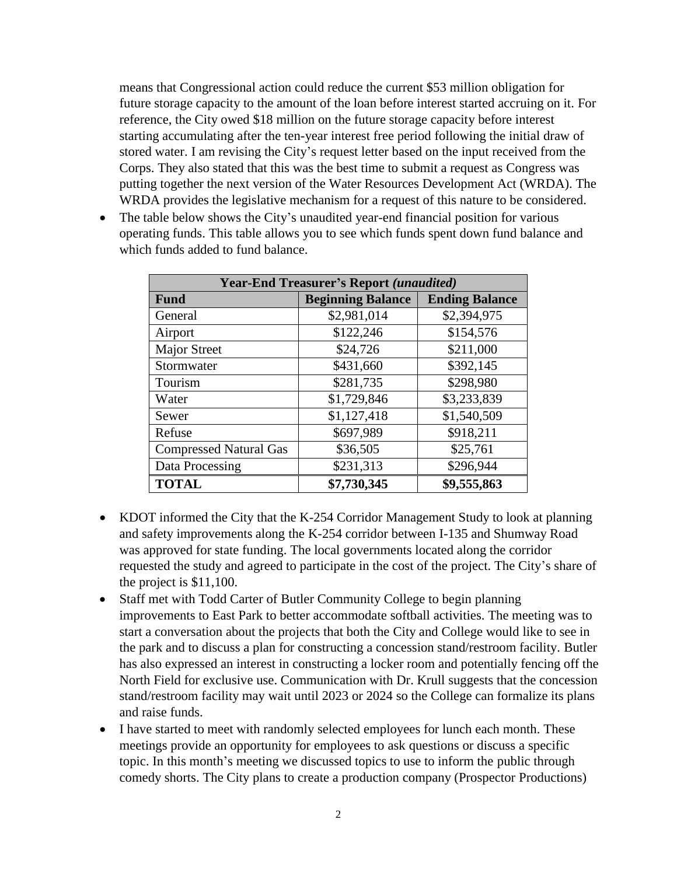means that Congressional action could reduce the current \$53 million obligation for future storage capacity to the amount of the loan before interest started accruing on it. For reference, the City owed \$18 million on the future storage capacity before interest starting accumulating after the ten-year interest free period following the initial draw of stored water. I am revising the City's request letter based on the input received from the Corps. They also stated that this was the best time to submit a request as Congress was putting together the next version of the Water Resources Development Act (WRDA). The WRDA provides the legislative mechanism for a request of this nature to be considered.

• The table below shows the City's unaudited year-end financial position for various operating funds. This table allows you to see which funds spent down fund balance and which funds added to fund balance.

| <b>Year-End Treasurer's Report (unaudited)</b> |                          |                       |
|------------------------------------------------|--------------------------|-----------------------|
| <b>Fund</b>                                    | <b>Beginning Balance</b> | <b>Ending Balance</b> |
| General                                        | \$2,981,014              | \$2,394,975           |
| Airport                                        | \$122,246                | \$154,576             |
| <b>Major Street</b>                            | \$24,726                 | \$211,000             |
| Stormwater                                     | \$431,660                | \$392,145             |
| Tourism                                        | \$281,735                | \$298,980             |
| Water                                          | \$1,729,846              | \$3,233,839           |
| Sewer                                          | \$1,127,418              | \$1,540,509           |
| Refuse                                         | \$697,989                | \$918,211             |
| <b>Compressed Natural Gas</b>                  | \$36,505                 | \$25,761              |
| Data Processing                                | \$231,313                | \$296,944             |
| <b>TOTAL</b>                                   | \$7,730,345              | \$9,555,863           |

- KDOT informed the City that the K-254 Corridor Management Study to look at planning and safety improvements along the K-254 corridor between I-135 and Shumway Road was approved for state funding. The local governments located along the corridor requested the study and agreed to participate in the cost of the project. The City's share of the project is \$11,100.
- Staff met with Todd Carter of Butler Community College to begin planning improvements to East Park to better accommodate softball activities. The meeting was to start a conversation about the projects that both the City and College would like to see in the park and to discuss a plan for constructing a concession stand/restroom facility. Butler has also expressed an interest in constructing a locker room and potentially fencing off the North Field for exclusive use. Communication with Dr. Krull suggests that the concession stand/restroom facility may wait until 2023 or 2024 so the College can formalize its plans and raise funds.
- I have started to meet with randomly selected employees for lunch each month. These meetings provide an opportunity for employees to ask questions or discuss a specific topic. In this month's meeting we discussed topics to use to inform the public through comedy shorts. The City plans to create a production company (Prospector Productions)